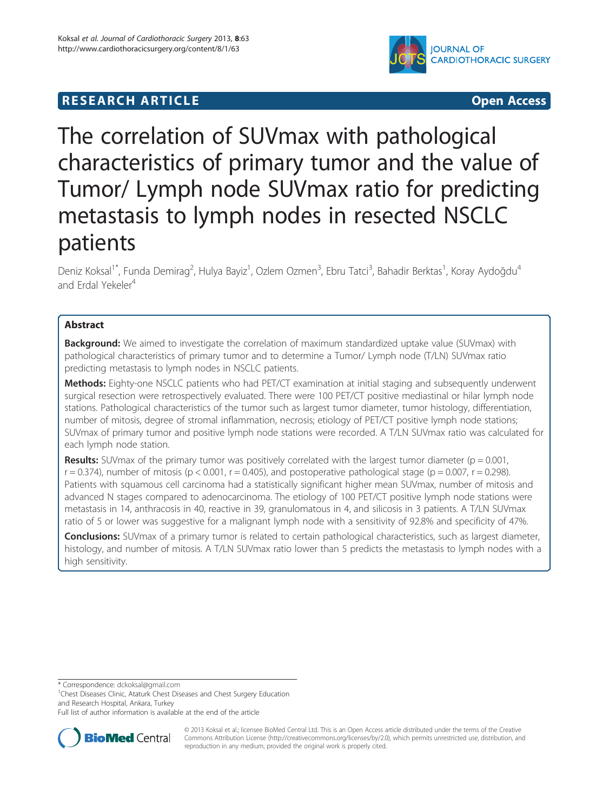

# **RESEARCH ARTICLE CONSUMING A RESEARCH ARTICLE**



# The correlation of SUVmax with pathological characteristics of primary tumor and the value of Tumor/ Lymph node SUVmax ratio for predicting metastasis to lymph nodes in resected NSCLC patients

Deniz Koksal<sup>1\*</sup>, Funda Demirag<sup>2</sup>, Hulya Bayiz<sup>1</sup>, Ozlem Ozmen<sup>3</sup>, Ebru Tatci<sup>3</sup>, Bahadir Berktas<sup>1</sup>, Koray Aydoğdu<sup>4</sup> and Erdal Yekeler<sup>4</sup>

# Abstract

Background: We aimed to investigate the correlation of maximum standardized uptake value (SUVmax) with pathological characteristics of primary tumor and to determine a Tumor/ Lymph node (T/LN) SUVmax ratio predicting metastasis to lymph nodes in NSCLC patients.

Methods: Eighty-one NSCLC patients who had PET/CT examination at initial staging and subsequently underwent surgical resection were retrospectively evaluated. There were 100 PET/CT positive mediastinal or hilar lymph node stations. Pathological characteristics of the tumor such as largest tumor diameter, tumor histology, differentiation, number of mitosis, degree of stromal inflammation, necrosis; etiology of PET/CT positive lymph node stations; SUVmax of primary tumor and positive lymph node stations were recorded. A T/LN SUVmax ratio was calculated for each lymph node station.

**Results:** SUVmax of the primary tumor was positively correlated with the largest tumor diameter ( $p = 0.001$ ,  $r = 0.374$ ), number of mitosis ( $p < 0.001$ ,  $r = 0.405$ ), and postoperative pathological stage ( $p = 0.007$ ,  $r = 0.298$ ). Patients with squamous cell carcinoma had a statistically significant higher mean SUVmax, number of mitosis and advanced N stages compared to adenocarcinoma. The etiology of 100 PET/CT positive lymph node stations were metastasis in 14, anthracosis in 40, reactive in 39, granulomatous in 4, and silicosis in 3 patients. A T/LN SUVmax ratio of 5 or lower was suggestive for a malignant lymph node with a sensitivity of 92.8% and specificity of 47%.

Conclusions: SUVmax of a primary tumor is related to certain pathological characteristics, such as largest diameter, histology, and number of mitosis. A T/LN SUVmax ratio lower than 5 predicts the metastasis to lymph nodes with a high sensitivity.

\* Correspondence: [dckoksal@gmail.com](mailto:dckoksal@gmail.com) <sup>1</sup>

<sup>1</sup>Chest Diseases Clinic, Ataturk Chest Diseases and Chest Surgery Education and Research Hospital, Ankara, Turkey

Full list of author information is available at the end of the article



© 2013 Koksal et al.; licensee BioMed Central Ltd. This is an Open Access article distributed under the terms of the Creative Commons Attribution License [\(http://creativecommons.org/licenses/by/2.0\)](http://creativecommons.org/licenses/by/2.0), which permits unrestricted use, distribution, and reproduction in any medium, provided the original work is properly cited.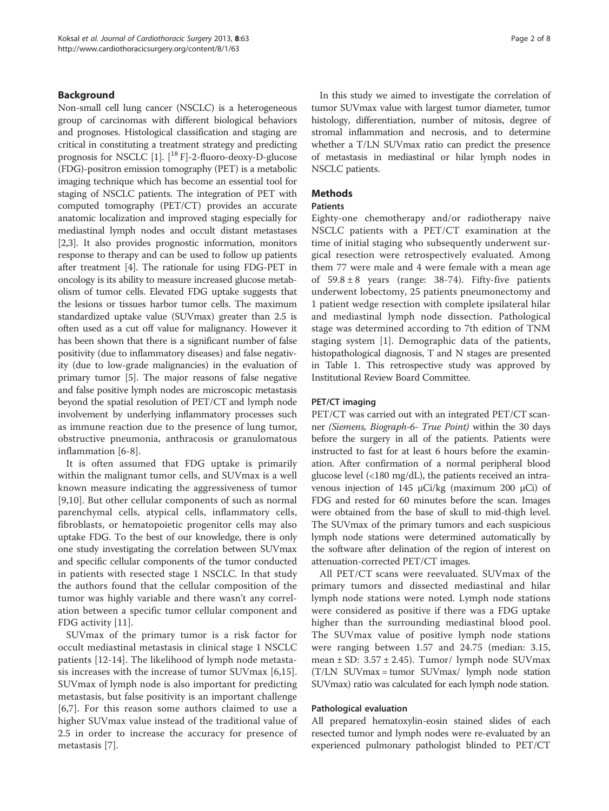## Background

Non-small cell lung cancer (NSCLC) is a heterogeneous group of carcinomas with different biological behaviors and prognoses. Histological classification and staging are critical in constituting a treatment strategy and predicting prognosis for NSCLC [[1](#page-6-0)]. [18 F]-2-fluoro-deoxy-D-glucose (FDG)-positron emission tomography (PET) is a metabolic imaging technique which has become an essential tool for staging of NSCLC patients. The integration of PET with computed tomography (PET/CT) provides an accurate anatomic localization and improved staging especially for mediastinal lymph nodes and occult distant metastases [[2,3](#page-6-0)]. It also provides prognostic information, monitors response to therapy and can be used to follow up patients after treatment [\[4\]](#page-6-0). The rationale for using FDG-PET in oncology is its ability to measure increased glucose metabolism of tumor cells. Elevated FDG uptake suggests that the lesions or tissues harbor tumor cells. The maximum standardized uptake value (SUVmax) greater than 2.5 is often used as a cut off value for malignancy. However it has been shown that there is a significant number of false positivity (due to inflammatory diseases) and false negativity (due to low-grade malignancies) in the evaluation of primary tumor [\[5](#page-6-0)]. The major reasons of false negative and false positive lymph nodes are microscopic metastasis beyond the spatial resolution of PET/CT and lymph node involvement by underlying inflammatory processes such as immune reaction due to the presence of lung tumor, obstructive pneumonia, anthracosis or granulomatous inflammation [\[6-8](#page-6-0)].

It is often assumed that FDG uptake is primarily within the malignant tumor cells, and SUVmax is a well known measure indicating the aggressiveness of tumor [[9](#page-6-0)[,10](#page-7-0)]. But other cellular components of such as normal parenchymal cells, atypical cells, inflammatory cells, fibroblasts, or hematopoietic progenitor cells may also uptake FDG. To the best of our knowledge, there is only one study investigating the correlation between SUVmax and specific cellular components of the tumor conducted in patients with resected stage 1 NSCLC. In that study the authors found that the cellular composition of the tumor was highly variable and there wasn't any correlation between a specific tumor cellular component and FDG activity  $|11|$ .

SUVmax of the primary tumor is a risk factor for occult mediastinal metastasis in clinical stage 1 NSCLC patients [[12-14](#page-7-0)]. The likelihood of lymph node metastasis increases with the increase of tumor SUVmax [[6,](#page-6-0)[15](#page-7-0)]. SUVmax of lymph node is also important for predicting metastasis, but false positivity is an important challenge [[6,7](#page-6-0)]. For this reason some authors claimed to use a higher SUVmax value instead of the traditional value of 2.5 in order to increase the accuracy for presence of metastasis [\[7](#page-6-0)].

In this study we aimed to investigate the correlation of tumor SUVmax value with largest tumor diameter, tumor histology, differentiation, number of mitosis, degree of stromal inflammation and necrosis, and to determine whether a T/LN SUVmax ratio can predict the presence of metastasis in mediastinal or hilar lymph nodes in NSCLC patients.

# **Methods**

#### Patients

Eighty-one chemotherapy and/or radiotherapy naive NSCLC patients with a PET/CT examination at the time of initial staging who subsequently underwent surgical resection were retrospectively evaluated. Among them 77 were male and 4 were female with a mean age of  $59.8 \pm 8$  years (range: 38-74). Fifty-five patients underwent lobectomy, 25 patients pneumonectomy and 1 patient wedge resection with complete ipsilateral hilar and mediastinal lymph node dissection. Pathological stage was determined according to 7th edition of TNM staging system [[1\]](#page-6-0). Demographic data of the patients, histopathological diagnosis, T and N stages are presented in Table [1](#page-2-0). This retrospective study was approved by Institutional Review Board Committee.

#### PET/CT imaging

PET/CT was carried out with an integrated PET/CT scanner (Siemens, Biograph-6- True Point) within the 30 days before the surgery in all of the patients. Patients were instructed to fast for at least 6 hours before the examination. After confirmation of a normal peripheral blood glucose level (<180 mg/dL), the patients received an intravenous injection of 145 μCi/kg (maximum 200 μCi) of FDG and rested for 60 minutes before the scan. Images were obtained from the base of skull to mid-thigh level. The SUVmax of the primary tumors and each suspicious lymph node stations were determined automatically by the software after delination of the region of interest on attenuation-corrected PET/CT images.

All PET/CT scans were reevaluated. SUVmax of the primary tumors and dissected mediastinal and hilar lymph node stations were noted. Lymph node stations were considered as positive if there was a FDG uptake higher than the surrounding mediastinal blood pool. The SUVmax value of positive lymph node stations were ranging between 1.57 and 24.75 (median: 3.15, mean ± SD: 3.57 ± 2.45). Tumor/ lymph node SUVmax (T/LN SUVmax = tumor SUVmax/ lymph node station SUVmax) ratio was calculated for each lymph node station.

#### Pathological evaluation

All prepared hematoxylin-eosin stained slides of each resected tumor and lymph nodes were re-evaluated by an experienced pulmonary pathologist blinded to PET/CT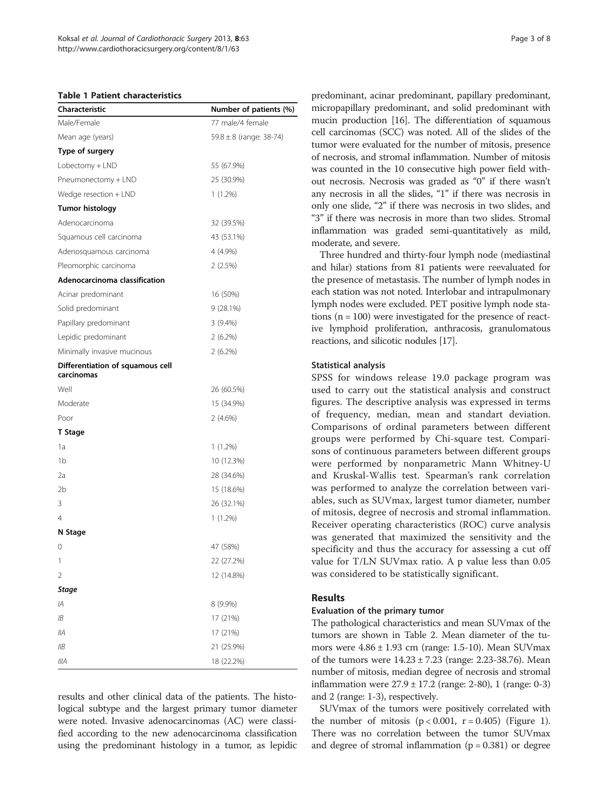<span id="page-2-0"></span>

| Characteristic                                 | Number of patients (%)      |  |
|------------------------------------------------|-----------------------------|--|
| Male/Female                                    | 77 male/4 female            |  |
| Mean age (years)                               | $59.8 \pm 8$ (range: 38-74) |  |
| Type of surgery                                |                             |  |
| Lobectomy + LND                                | 55 (67.9%)                  |  |
| Pneumonectomy + LND                            | 25 (30.9%)                  |  |
| Wedge resection + LND                          | $1(1.2\%)$                  |  |
| <b>Tumor histology</b>                         |                             |  |
| Adenocarcinoma                                 | 32 (39.5%)                  |  |
| Squamous cell carcinoma                        | 43 (53.1%)                  |  |
| Adenosquamous carcinoma                        | 4 (4.9%)                    |  |
| Pleomorphic carcinoma                          | 2(2.5%)                     |  |
| Adenocarcinoma classification                  |                             |  |
| Acinar predominant                             | 16 (50%)                    |  |
| Solid predominant                              | 9(28.1%)                    |  |
| Papillary predominant                          | $3(9.4\%)$                  |  |
| Lepidic predominant                            | $2(6.2\%)$                  |  |
| Minimally invasive mucinous                    | $2(6.2\%)$                  |  |
| Differentiation of squamous cell<br>carcinomas |                             |  |
| Well                                           | 26 (60.5%)                  |  |
| Moderate                                       | 15 (34.9%)                  |  |
| Poor                                           | 2 (4.6%)                    |  |
| <b>T</b> Stage                                 |                             |  |
| 1a                                             | $1(1.2\%)$                  |  |
| 1b                                             | 10 (12.3%)                  |  |
| 2a                                             | 28 (34.6%)                  |  |
| 2b                                             | 15 (18.6%)                  |  |
| 3                                              | 26 (32.1%)                  |  |
| 4                                              | $1(1.2\%)$                  |  |
| N Stage                                        |                             |  |
| 0                                              | 47 (58%)                    |  |
| 1                                              | 22 (27.2%)                  |  |
| 2                                              | 12 (14.8%)                  |  |
| <b>Stage</b>                                   |                             |  |
| IA                                             | 8 (9.9%)                    |  |
| ΙB                                             | 17 (21%)                    |  |
| IIА                                            | 17 (21%)                    |  |
| IIВ                                            | 21 (25.9%)                  |  |
| IIIA                                           | 18 (22.2%)                  |  |

results and other clinical data of the patients. The histological subtype and the largest primary tumor diameter were noted. Invasive adenocarcinomas (AC) were classified according to the new adenocarcinoma classification using the predominant histology in a tumor, as lepidic

predominant, acinar predominant, papillary predominant, micropapillary predominant, and solid predominant with mucin production [\[16\]](#page-7-0). The differentiation of squamous cell carcinomas (SCC) was noted. All of the slides of the tumor were evaluated for the number of mitosis, presence of necrosis, and stromal inflammation. Number of mitosis was counted in the 10 consecutive high power field without necrosis. Necrosis was graded as "0" if there wasn't any necrosis in all the slides, "1" if there was necrosis in only one slide, "2" if there was necrosis in two slides, and "3" if there was necrosis in more than two slides. Stromal inflammation was graded semi-quantitatively as mild, moderate, and severe.

Three hundred and thirty-four lymph node (mediastinal and hilar) stations from 81 patients were reevaluated for the presence of metastasis. The number of lymph nodes in each station was not noted. Interlobar and intrapulmonary lymph nodes were excluded. PET positive lymph node stations  $(n = 100)$  were investigated for the presence of reactive lymphoid proliferation, anthracosis, granulomatous reactions, and silicotic nodules [[17](#page-7-0)].

#### Statistical analysis

SPSS for windows release 19.0 package program was used to carry out the statistical analysis and construct figures. The descriptive analysis was expressed in terms of frequency, median, mean and standart deviation. Comparisons of ordinal parameters between different groups were performed by Chi-square test. Comparisons of continuous parameters between different groups were performed by nonparametric Mann Whitney-U and Kruskal-Wallis test. Spearman's rank correlation was performed to analyze the correlation between variables, such as SUVmax, largest tumor diameter, number of mitosis, degree of necrosis and stromal inflammation. Receiver operating characteristics (ROC) curve analysis was generated that maximized the sensitivity and the specificity and thus the accuracy for assessing a cut off value for T/LN SUVmax ratio. A p value less than 0.05 was considered to be statistically significant.

## Results

#### Evaluation of the primary tumor

The pathological characteristics and mean SUVmax of the tumors are shown in Table [2](#page-3-0). Mean diameter of the tumors were  $4.86 \pm 1.93$  cm (range: 1.5-10). Mean SUVmax of the tumors were 14.23 ± 7.23 (range: 2.23-38.76). Mean number of mitosis, median degree of necrosis and stromal inflammation were 27.9 ± 17.2 (range: 2-80), 1 (range: 0-3) and 2 (range: 1-3), respectively.

SUVmax of the tumors were positively correlated with the number of mitosis  $(p < 0.001, r = 0.405)$  (Figure [1](#page-3-0)). There was no correlation between the tumor SUVmax and degree of stromal inflammation  $(p = 0.381)$  or degree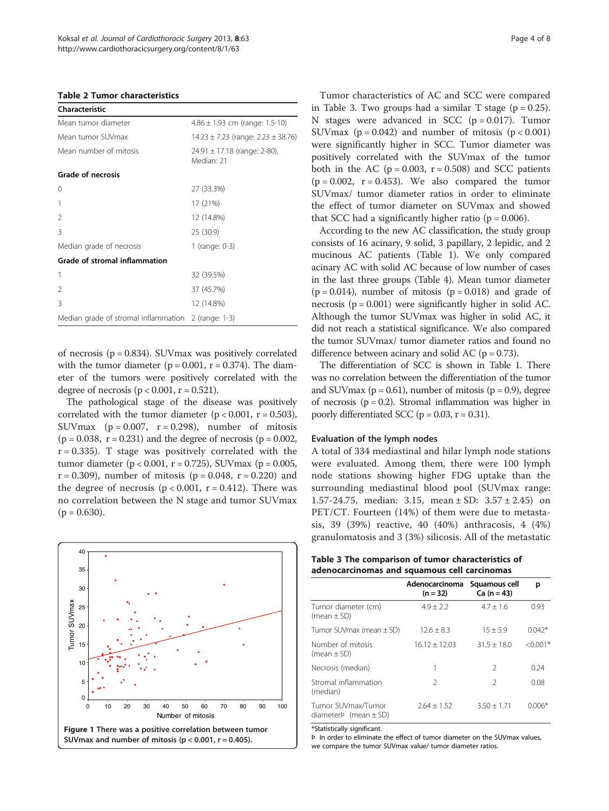<span id="page-3-0"></span>

|  |  |  |  | <b>Table 2 Tumor characteristics</b> |
|--|--|--|--|--------------------------------------|
|--|--|--|--|--------------------------------------|

| Characteristic                       |                                                |
|--------------------------------------|------------------------------------------------|
| Mean tumor diameter                  | $4.86 \pm 1.93$ cm (range: 1.5-10)             |
| Mean tumor SUVmax                    | $14.23 \pm 7.23$ (range: $2.23 \pm 38.76$ )    |
| Mean number of mitosis               | $24.91 \pm 17.18$ (range: 2-80),<br>Median: 21 |
| <b>Grade of necrosis</b>             |                                                |
| 0                                    | 27 (33.3%)                                     |
| 1                                    | 17 (21%)                                       |
| 2                                    | 12 (14.8%)                                     |
| 3                                    | 25 (30.9)                                      |
| Median grade of necrosis             | 1 (range: 0-3)                                 |
| Grade of stromal inflammation        |                                                |
| 1                                    | 32 (39.5%)                                     |
| 2                                    | 37 (45.7%)                                     |
| 3                                    | 12 (14.8%)                                     |
| Median grade of stromal inflammation | 2 (range: 1-3)                                 |

of necrosis ( $p = 0.834$ ). SUV max was positively correlated with the tumor diameter ( $p = 0.001$ ,  $r = 0.374$ ). The diameter of the tumors were positively correlated with the degree of necrosis ( $p < 0.001$ ,  $r = 0.521$ ).

The pathological stage of the disease was positively correlated with the tumor diameter ( $p < 0.001$ ,  $r = 0.503$ ), SUVmax ( $p = 0.007$ ,  $r = 0.298$ ), number of mitosis  $(p = 0.038, r = 0.231)$  and the degree of necrosis  $(p = 0.002, r = 0.039)$  $r = 0.335$ ). T stage was positively correlated with the tumor diameter ( $p < 0.001$ ,  $r = 0.725$ ), SUVmax ( $p = 0.005$ ,  $r = 0.309$ , number of mitosis ( $p = 0.048$ ,  $r = 0.220$ ) and the degree of necrosis ( $p < 0.001$ ,  $r = 0.412$ ). There was no correlation between the N stage and tumor SUVmax  $(p = 0.630)$ .



Tumor characteristics of AC and SCC were compared in Table 3. Two groups had a similar T stage  $(p = 0.25)$ . N stages were advanced in SCC  $(p = 0.017)$ . Tumor SUV max ( $p = 0.042$ ) and number of mitosis ( $p < 0.001$ ) were significantly higher in SCC. Tumor diameter was positively correlated with the SUVmax of the tumor both in the AC ( $p = 0.003$ ,  $r = 0.508$ ) and SCC patients  $(p = 0.002, r = 0.453)$ . We also compared the tumor SUVmax/ tumor diameter ratios in order to eliminate the effect of tumor diameter on SUVmax and showed that SCC had a significantly higher ratio ( $p = 0.006$ ).

According to the new AC classification, the study group consists of 16 acinary, 9 solid, 3 papillary, 2 lepidic, and 2 mucinous AC patients (Table [1](#page-2-0)). We only compared acinary AC with solid AC because of low number of cases in the last three groups (Table [4\)](#page-4-0). Mean tumor diameter  $(p = 0.014)$ , number of mitosis  $(p = 0.018)$  and grade of necrosis ( $p = 0.001$ ) were significantly higher in solid AC. Although the tumor SUVmax was higher in solid AC, it did not reach a statistical significance. We also compared the tumor SUVmax/ tumor diameter ratios and found no difference between acinary and solid AC ( $p = 0.73$ ).

The differentiation of SCC is shown in Table [1.](#page-2-0) There was no correlation between the differentiation of the tumor and SUV max ( $p = 0.61$ ), number of mitosis ( $p = 0.9$ ), degree of necrosis  $(p = 0.2)$ . Stromal inflammation was higher in poorly differentiated SCC ( $p = 0.03$ ,  $r = 0.31$ ).

#### Evaluation of the lymph nodes

A total of 334 mediastinal and hilar lymph node stations were evaluated. Among them, there were 100 lymph node stations showing higher FDG uptake than the surrounding mediastinal blood pool (SUVmax range: 1.57-24.75, median: 3.15, mean  $\pm$  SD: 3.57  $\pm$  2.45) on PET/CT. Fourteen (14%) of them were due to metastasis, 39 (39%) reactive, 40 (40%) anthracosis, 4 (4%) granulomatosis and 3 (3%) silicosis. All of the metastatic

| Table 3 The comparison of tumor characteristics of |  |  |
|----------------------------------------------------|--|--|
| adenocarcinomas and squamous cell carcinomas       |  |  |

|                                                    | Adenocarcinoma<br>$(n = 32)$ | Squamous cell<br>$Ca (n = 43)$ | р          |
|----------------------------------------------------|------------------------------|--------------------------------|------------|
| Tumor diameter (cm)<br>(mean $\pm$ SD)             | $4.9 + 2.2$                  | $4.7 + 1.6$                    | 0.93       |
| Tumor SUV max (mean $\pm$ SD)                      | $12.6 + 8.3$                 | $15 \pm 5.9$                   | $0.042*$   |
| Number of mitosis<br>$(mean \pm SD)$               | $16.12 \pm 12.03$            | $31.5 + 18.0$                  | $< 0.001*$ |
| Necrosis (median)                                  | 1                            | $\mathcal{P}$                  | 0.24       |
| Stromal inflammation<br>(median)                   | 2                            | 2                              | 0.08       |
| Tumor SUVmax/Tumor<br>diameter $P$ (mean $\pm$ SD) | $2.64 + 1.52$                | $3.50 + 1.71$                  | 0.006*     |

\*Statistically significant.

Þ In order to eliminate the effect of tumor diameter on the SUVmax values, we compare the tumor SUVmax value/ tumor diameter ratios.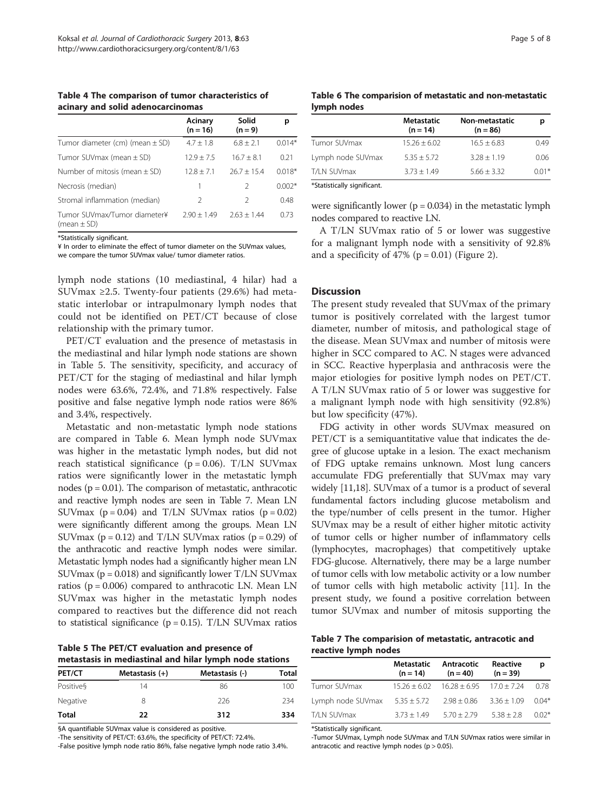<span id="page-4-0"></span>Table 4 The comparison of tumor characteristics of acinary and solid adenocarcinomas

|                                                 | Acinary<br>$(n = 16)$ | Solid<br>$(n = 9)$ | р        |
|-------------------------------------------------|-----------------------|--------------------|----------|
| Tumor diameter (cm) (mean $\pm$ SD)             | $4.7 + 1.8$           | $6.8 + 2.1$        | $0.014*$ |
| Tumor SUV max (mean $\pm$ SD)                   | $12.9 + 7.5$          | $16.7 + 8.1$       | 0.21     |
| Number of mitosis (mean $\pm$ SD)               | $12.8 + 7.1$          | $26.7 + 15.4$      | $0.018*$ |
| Necrosis (median)                               | 1                     | 2                  | $0.002*$ |
| Stromal inflammation (median)                   | $\mathcal{P}$         | $\mathcal{P}$      | 0.48     |
| Tumor SUVmax/Tumor diameter¥<br>(mean $\pm$ SD) | $7.90 + 1.49$         | $2.63 + 1.44$      | 0.73     |

\*Statistically significant.

¥ In order to eliminate the effect of tumor diameter on the SUVmax values, we compare the tumor SUVmax value/ tumor diameter ratios.

lymph node stations (10 mediastinal, 4 hilar) had a SUVmax  $\geq$ 2.5. Twenty-four patients (29.6%) had metastatic interlobar or intrapulmonary lymph nodes that could not be identified on PET/CT because of close relationship with the primary tumor.

PET/CT evaluation and the presence of metastasis in the mediastinal and hilar lymph node stations are shown in Table 5. The sensitivity, specificity, and accuracy of PET/CT for the staging of mediastinal and hilar lymph nodes were 63.6%, 72.4%, and 71.8% respectively. False positive and false negative lymph node ratios were 86% and 3.4%, respectively.

Metastatic and non-metastatic lymph node stations are compared in Table 6. Mean lymph node SUVmax was higher in the metastatic lymph nodes, but did not reach statistical significance ( $p = 0.06$ ). T/LN SUVmax ratios were significantly lower in the metastatic lymph nodes ( $p = 0.01$ ). The comparison of metastatic, anthracotic and reactive lymph nodes are seen in Table 7. Mean LN SUVmax ( $p = 0.04$ ) and T/LN SUVmax ratios ( $p = 0.02$ ) were significantly different among the groups. Mean LN SUVmax ( $p = 0.12$ ) and T/LN SUVmax ratios ( $p = 0.29$ ) of the anthracotic and reactive lymph nodes were similar. Metastatic lymph nodes had a significantly higher mean LN SUV $max$  ( $p = 0.018$ ) and significantly lower T/LN SUV $max$ ratios ( $p = 0.006$ ) compared to anthracotic LN. Mean LN SUVmax was higher in the metastatic lymph nodes compared to reactives but the difference did not reach to statistical significance ( $p = 0.15$ ). T/LN SUVmax ratios

Table 5 The PET/CT evaluation and presence of metastasis in mediastinal and hilar lymph node stations

| PET/CT    | Metastasis $(+)$ | Metastasis (-) | Total |  |
|-----------|------------------|----------------|-------|--|
| Positives | 14               | 86             | 100   |  |
| Negative  | 8                | 226            | 234   |  |
| Total     | 22               | 312            | 334   |  |

§A quantifiable SUVmax value is considered as positive.

-The sensitivity of PET/CT: 63.6%, the specificity of PET/CT: 72.4%.

-False positive lymph node ratio 86%, false negative lymph node ratio 3.4%.

|             |  | Table 6 The comparision of metastatic and non-metastatic |
|-------------|--|----------------------------------------------------------|
| lymph nodes |  |                                                          |

|                                                                                   | <b>Metastatic</b><br>$(n = 14)$ | Non-metastatic<br>$(n = 86)$ | р       |
|-----------------------------------------------------------------------------------|---------------------------------|------------------------------|---------|
| Tumor SUVmax                                                                      | $15.26 + 6.02$                  | $16.5 + 6.83$                | 0.49    |
| Lymph node SUVmax                                                                 | $5.35 + 5.72$                   | $3.28 + 1.19$                | 0.06    |
| T/LN SUVmax                                                                       | $3.73 + 1.49$                   | $5.66 + 3.32$                | $0.01*$ |
| $\mathbf{v} = \mathbf{v}$ . The second is the second of $\mathbf{v} = \mathbf{v}$ |                                 |                              |         |

\*Statistically significant.

were significantly lower ( $p = 0.034$ ) in the metastatic lymph nodes compared to reactive LN.

A T/LN SUVmax ratio of 5 or lower was suggestive for a malignant lymph node with a sensitivity of 92.8% and a specificity of  $47\%$  (p = 0.01) (Figure [2\)](#page-5-0).

#### **Discussion**

The present study revealed that SUVmax of the primary tumor is positively correlated with the largest tumor diameter, number of mitosis, and pathological stage of the disease. Mean SUVmax and number of mitosis were higher in SCC compared to AC. N stages were advanced in SCC. Reactive hyperplasia and anthracosis were the major etiologies for positive lymph nodes on PET/CT. A T/LN SUVmax ratio of 5 or lower was suggestive for a malignant lymph node with high sensitivity (92.8%) but low specificity (47%).

FDG activity in other words SUVmax measured on PET/CT is a semiquantitative value that indicates the degree of glucose uptake in a lesion. The exact mechanism of FDG uptake remains unknown. Most lung cancers accumulate FDG preferentially that SUVmax may vary widely [\[11,18](#page-7-0)]. SUVmax of a tumor is a product of several fundamental factors including glucose metabolism and the type/number of cells present in the tumor. Higher SUVmax may be a result of either higher mitotic activity of tumor cells or higher number of inflammatory cells (lymphocytes, macrophages) that competitively uptake FDG-glucose. Alternatively, there may be a large number of tumor cells with low metabolic activity or a low number of tumor cells with high metabolic activity [\[11\]](#page-7-0). In the present study, we found a positive correlation between tumor SUVmax and number of mitosis supporting the

Table 7 The comparision of metastatic, antracotic and reactive lymph nodes

|                   | Metastatic<br>$(n = 14)$ | Antracotic<br>$(n = 40)$                    | Reactive<br>$(n = 39)$ | р       |
|-------------------|--------------------------|---------------------------------------------|------------------------|---------|
| Tumor SUVmax      |                          | $15.26 + 6.02$ $16.28 + 6.95$ $17.0 + 7.24$ |                        | 0.78    |
| Lymph node SUVmax | $5.35 \pm 5.72$          | $2.98 + 0.86$                               | $3.36 + 1.09$ 0.04*    |         |
| T/LN SUVmax       | $3.73 \pm 1.49$          | $5.70 + 2.79$                               | $5.38 + 2.8$           | $0.02*$ |

\*Statistically significant.

-Tumor SUVmax, Lymph node SUVmax and T/LN SUVmax ratios were similar in antracotic and reactive lymph nodes ( $p > 0.05$ ).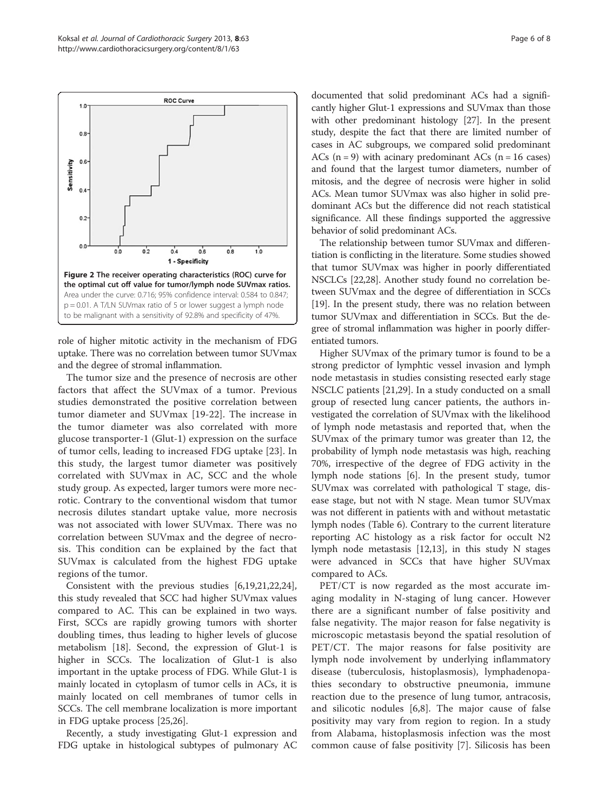<span id="page-5-0"></span>

role of higher mitotic activity in the mechanism of FDG uptake. There was no correlation between tumor SUVmax and the degree of stromal inflammation.

The tumor size and the presence of necrosis are other factors that affect the SUVmax of a tumor. Previous studies demonstrated the positive correlation between tumor diameter and SUVmax [[19-22\]](#page-7-0). The increase in the tumor diameter was also correlated with more glucose transporter-1 (Glut-1) expression on the surface of tumor cells, leading to increased FDG uptake [\[23](#page-7-0)]. In this study, the largest tumor diameter was positively correlated with SUVmax in AC, SCC and the whole study group. As expected, larger tumors were more necrotic. Contrary to the conventional wisdom that tumor necrosis dilutes standart uptake value, more necrosis was not associated with lower SUVmax. There was no correlation between SUVmax and the degree of necrosis. This condition can be explained by the fact that SUVmax is calculated from the highest FDG uptake regions of the tumor.

Consistent with the previous studies [\[6](#page-6-0),[19,21,22,24](#page-7-0)], this study revealed that SCC had higher SUVmax values compared to AC. This can be explained in two ways. First, SCCs are rapidly growing tumors with shorter doubling times, thus leading to higher levels of glucose metabolism [[18\]](#page-7-0). Second, the expression of Glut-1 is higher in SCCs. The localization of Glut-1 is also important in the uptake process of FDG. While Glut-1 is mainly located in cytoplasm of tumor cells in ACs, it is mainly located on cell membranes of tumor cells in SCCs. The cell membrane localization is more important in FDG uptake process [[25,26\]](#page-7-0).

Recently, a study investigating Glut-1 expression and FDG uptake in histological subtypes of pulmonary AC

documented that solid predominant ACs had a significantly higher Glut-1 expressions and SUVmax than those with other predominant histology [\[27](#page-7-0)]. In the present study, despite the fact that there are limited number of cases in AC subgroups, we compared solid predominant ACs  $(n = 9)$  with acinary predominant ACs  $(n = 16 \text{ cases})$ and found that the largest tumor diameters, number of mitosis, and the degree of necrosis were higher in solid ACs. Mean tumor SUVmax was also higher in solid predominant ACs but the difference did not reach statistical significance. All these findings supported the aggressive behavior of solid predominant ACs.

The relationship between tumor SUVmax and differentiation is conflicting in the literature. Some studies showed that tumor SUVmax was higher in poorly differentiated NSCLCs [\[22,28](#page-7-0)]. Another study found no correlation between SUVmax and the degree of differentiation in SCCs [[19](#page-7-0)]. In the present study, there was no relation between tumor SUVmax and differentiation in SCCs. But the degree of stromal inflammation was higher in poorly differentiated tumors.

Higher SUVmax of the primary tumor is found to be a strong predictor of lymphtic vessel invasion and lymph node metastasis in studies consisting resected early stage NSCLC patients [\[21,29\]](#page-7-0). In a study conducted on a small group of resected lung cancer patients, the authors investigated the correlation of SUVmax with the likelihood of lymph node metastasis and reported that, when the SUVmax of the primary tumor was greater than 12, the probability of lymph node metastasis was high, reaching 70%, irrespective of the degree of FDG activity in the lymph node stations [[6\]](#page-6-0). In the present study, tumor SUVmax was correlated with pathological T stage, disease stage, but not with N stage. Mean tumor SUVmax was not different in patients with and without metastatic lymph nodes (Table [6](#page-4-0)). Contrary to the current literature reporting AC histology as a risk factor for occult N2 lymph node metastasis [\[12,13](#page-7-0)], in this study N stages were advanced in SCCs that have higher SUVmax compared to ACs.

PET/CT is now regarded as the most accurate imaging modality in N-staging of lung cancer. However there are a significant number of false positivity and false negativity. The major reason for false negativity is microscopic metastasis beyond the spatial resolution of PET/CT. The major reasons for false positivity are lymph node involvement by underlying inflammatory disease (tuberculosis, histoplasmosis), lymphadenopathies secondary to obstructive pneumonia, immune reaction due to the presence of lung tumor, antracosis, and silicotic nodules [[6,8](#page-6-0)]. The major cause of false positivity may vary from region to region. In a study from Alabama, histoplasmosis infection was the most common cause of false positivity [\[7\]](#page-6-0). Silicosis has been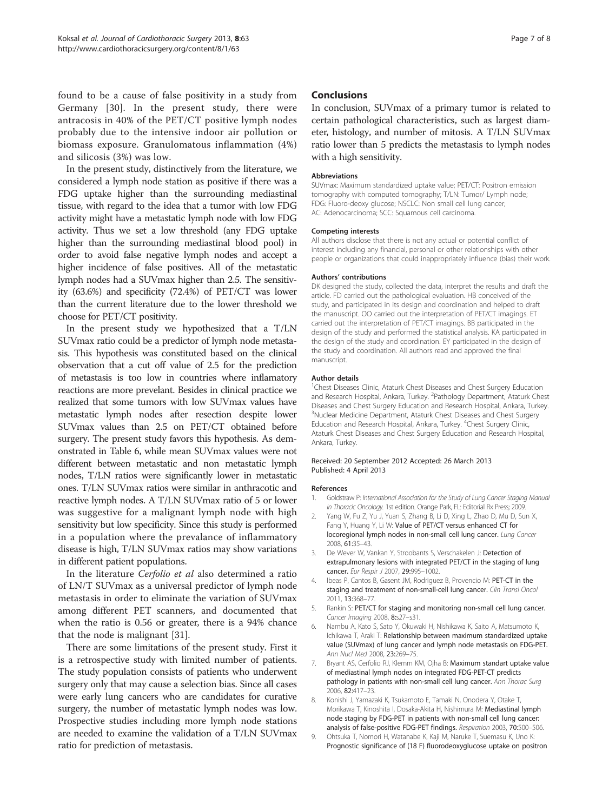<span id="page-6-0"></span>found to be a cause of false positivity in a study from Germany [[30](#page-7-0)]. In the present study, there were antracosis in 40% of the PET/CT positive lymph nodes probably due to the intensive indoor air pollution or biomass exposure. Granulomatous inflammation (4%) and silicosis (3%) was low.

In the present study, distinctively from the literature, we considered a lymph node station as positive if there was a FDG uptake higher than the surrounding mediastinal tissue, with regard to the idea that a tumor with low FDG activity might have a metastatic lymph node with low FDG activity. Thus we set a low threshold (any FDG uptake higher than the surrounding mediastinal blood pool) in order to avoid false negative lymph nodes and accept a higher incidence of false positives. All of the metastatic lymph nodes had a SUVmax higher than 2.5. The sensitivity (63.6%) and specificity (72.4%) of PET/CT was lower than the current literature due to the lower threshold we choose for PET/CT positivity.

In the present study we hypothesized that a T/LN SUVmax ratio could be a predictor of lymph node metastasis. This hypothesis was constituted based on the clinical observation that a cut off value of 2.5 for the prediction of metastasis is too low in countries where inflamatory reactions are more prevelant. Besides in clinical practice we realized that some tumors with low SUVmax values have metastatic lymph nodes after resection despite lower SUVmax values than 2.5 on PET/CT obtained before surgery. The present study favors this hypothesis. As demonstrated in Table [6](#page-4-0), while mean SUVmax values were not different between metastatic and non metastatic lymph nodes, T/LN ratios were significantly lower in metastatic ones. T/LN SUVmax ratios were similar in anthracotic and reactive lymph nodes. A T/LN SUVmax ratio of 5 or lower was suggestive for a malignant lymph node with high sensitivity but low specificity. Since this study is performed in a population where the prevalance of inflammatory disease is high, T/LN SUVmax ratios may show variations in different patient populations.

In the literature Cerfolio et al also determined a ratio of LN/T SUVmax as a universal predictor of lymph node metastasis in order to eliminate the variation of SUVmax among different PET scanners, and documented that when the ratio is 0.56 or greater, there is a 94% chance that the node is malignant [[31\]](#page-7-0).

There are some limitations of the present study. First it is a retrospective study with limited number of patients. The study population consists of patients who underwent surgery only that may cause a selection bias. Since all cases were early lung cancers who are candidates for curative surgery, the number of metastatic lymph nodes was low. Prospective studies including more lymph node stations are needed to examine the validation of a T/LN SUVmax ratio for prediction of metastasis.

#### **Conclusions**

In conclusion, SUVmax of a primary tumor is related to certain pathological characteristics, such as largest diameter, histology, and number of mitosis. A T/LN SUVmax ratio lower than 5 predicts the metastasis to lymph nodes with a high sensitivity.

#### **Abbreviations**

SUVmax: Maximum standardized uptake value; PET/CT: Positron emission tomography with computed tomography; T/LN: Tumor/ Lymph node; FDG: Fluoro-deoxy glucose; NSCLC: Non small cell lung cancer; AC: Adenocarcinoma; SCC: Squamous cell carcinoma.

#### Competing interests

All authors disclose that there is not any actual or potential conflict of interest including any financial, personal or other relationships with other people or organizations that could inappropriately influence (bias) their work.

#### Authors' contributions

DK designed the study, collected the data, interpret the results and draft the article. FD carried out the pathological evaluation. HB conceived of the study, and participated in its design and coordination and helped to draft the manuscript. OO carried out the interpretation of PET/CT imagings. ET carried out the interpretation of PET/CT imagings. BB participated in the design of the study and performed the statistical analysis. KA participated in the design of the study and coordination. EY participated in the design of the study and coordination. All authors read and approved the final manuscript.

#### Author details

<sup>1</sup>Chest Diseases Clinic, Ataturk Chest Diseases and Chest Surgery Education and Research Hospital, Ankara, Turkey. <sup>2</sup>Pathology Department, Ataturk Chest Diseases and Chest Surgery Education and Research Hospital, Ankara, Turkey. <sup>3</sup>Nuclear Medicine Department, Ataturk Chest Diseases and Chest Surgery Education and Research Hospital, Ankara, Turkey. <sup>4</sup>Chest Surgery Clinic Ataturk Chest Diseases and Chest Surgery Education and Research Hospital, Ankara, Turkey.

#### Received: 20 September 2012 Accepted: 26 March 2013 Published: 4 April 2013

#### References

- 1. Goldstraw P: International Association for the Study of Lung Cancer Staging Manual in Thoracic Oncology. 1st edition. Orange Park, FL: Editorial Rx Press; 2009.
- 2. Yang W, Fu Z, Yu J, Yuan S, Zhang B, Li D, Xing L, Zhao D, Mu D, Sun X, Fang Y, Huang Y, Li W: Value of PET/CT versus enhanced CT for locoregional lymph nodes in non-small cell lung cancer. Lung Cancer 2008, 61:35–43.
- 3. De Wever W, Vankan Y, Stroobants S, Verschakelen J: Detection of extrapulmonary lesions with integrated PET/CT in the staging of lung cancer. Eur Respir J 2007, 29:995–1002.
- 4. Ibeas P, Cantos B, Gasent JM, Rodriguez B, Provencio M: PET-CT in the staging and treatment of non-small-cell lung cancer. Clin Transl Oncol 2011, 13:368–77.
- 5. Rankin S: PET/CT for staging and monitoring non-small cell lung cancer. Cancer Imaging 2008, 8:s27–s31.
- 6. Nambu A, Kato S, Sato Y, Okuwaki H, Nishikawa K, Saito A, Matsumoto K, Ichikawa T, Araki T: Relationship between maximum standardized uptake value (SUVmax) of lung cancer and lymph node metastasis on FDG-PET. Ann Nucl Med 2008, 23:269–75.
- 7. Bryant AS, Cerfolio RJ, Klemm KM, Ojha B: Maximum standart uptake value of mediastinal lymph nodes on integrated FDG-PET-CT predicts pathology in patients with non-small cell lung cancer. Ann Thorac Surg 2006, 82:417–23.
- 8. Konishi J, Yamazaki K, Tsukamoto E, Tamaki N, Onodera Y, Otake T, Morikawa T, Kinoshita I, Dosaka-Akita H, Nishimura M: Mediastinal lymph node staging by FDG-PET in patients with non-small cell lung cancer: analysis of false-positive FDG-PET findings. Respiration 2003, 70:500–506.
- 9. Ohtsuka T, Nomori H, Watanabe K, Kaji M, Naruke T, Suemasu K, Uno K: Prognostic significance of (18 F) fluorodeoxyglucose uptake on positron